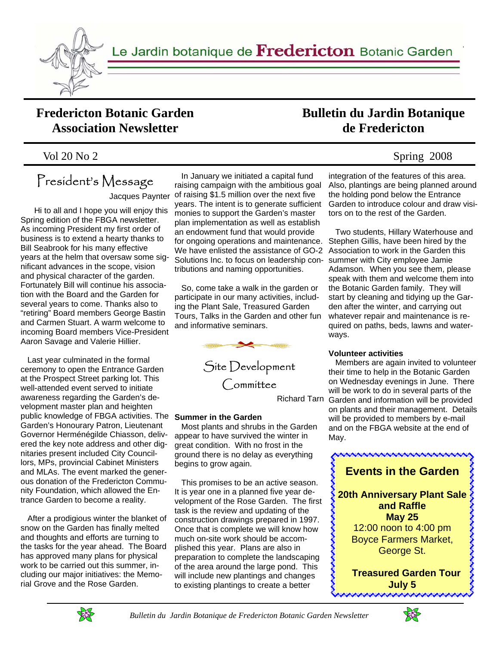

Le Jardin botanique de Fredericton Botanic Garden

## **Fredericton Botanic Garden Association Newsletter**

### Vol 20 No 2 Spring 2008

# President's Message

Jacques Paynter

 Hi to all and I hope you will enjoy this Spring edition of the FBGA newsletter. As incoming President my first order of business is to extend a hearty thanks to Bill Seabrook for his many effective years at the helm that oversaw some significant advances in the scope, vision and physical character of the garden. Fortunately Bill will continue his association with the Board and the Garden for several years to come. Thanks also to "retiring" Board members George Bastin and Carmen Stuart. A warm welcome to incoming Board members Vice-President Aaron Savage and Valerie Hillier.

 Last year culminated in the formal ceremony to open the Entrance Garden at the Prospect Street parking lot. This well-attended event served to initiate awareness regarding the Garden's development master plan and heighten public knowledge of FBGA activities. The **Summer in the Garden**  Garden's Honourary Patron, Lieutenant Governor Herménégilde Chiasson, delivered the key note address and other dignitaries present included City Councillors, MPs, provincial Cabinet Ministers and MLAs. The event marked the generous donation of the Fredericton Community Foundation, which allowed the Entrance Garden to become a reality.

 After a prodigious winter the blanket of snow on the Garden has finally melted and thoughts and efforts are turning to the tasks for the year ahead. The Board has approved many plans for physical work to be carried out this summer, including our major initiatives: the Memorial Grove and the Rose Garden.

 In January we initiated a capital fund raising campaign with the ambitious goal of raising \$1.5 million over the next five years. The intent is to generate sufficient monies to support the Garden's master plan implementation as well as establish an endowment fund that would provide for ongoing operations and maintenance. We have enlisted the assistance of GO-2 Solutions Inc. to focus on leadership contributions and naming opportunities.

 So, come take a walk in the garden or participate in our many activities, including the Plant Sale, Treasured Garden Tours, Talks in the Garden and other fun and informative seminars.



Site Development Committee

 Most plants and shrubs in the Garden appear to have survived the winter in great condition. With no frost in the ground there is no delay as everything begins to grow again.

 This promises to be an active season. It is year one in a planned five year development of the Rose Garden. The first task is the review and updating of the construction drawings prepared in 1997. Once that is complete we will know how much on-site work should be accomplished this year. Plans are also in preparation to complete the landscaping of the area around the large pond. This will include new plantings and changes to existing plantings to create a better

integration of the features of this area. Also, plantings are being planned around the holding pond below the Entrance Garden to introduce colour and draw visitors on to the rest of the Garden.

**Bulletin du Jardin Botanique de Fredericton** 

> Two students, Hillary Waterhouse and Stephen Gillis, have been hired by the Association to work in the Garden this summer with City employee Jamie Adamson. When you see them, please speak with them and welcome them into the Botanic Garden family. They will start by cleaning and tidying up the Garden after the winter, and carrying out whatever repair and maintenance is required on paths, beds, lawns and waterways.

#### **Volunteer activities**

Richard Tarn Garden and information will be provided Members are again invited to volunteer their time to help in the Botanic Garden on Wednesday evenings in June. There will be work to do in several parts of the on plants and their management. Details will be provided to members by e-mail and on the FBGA website at the end of May.





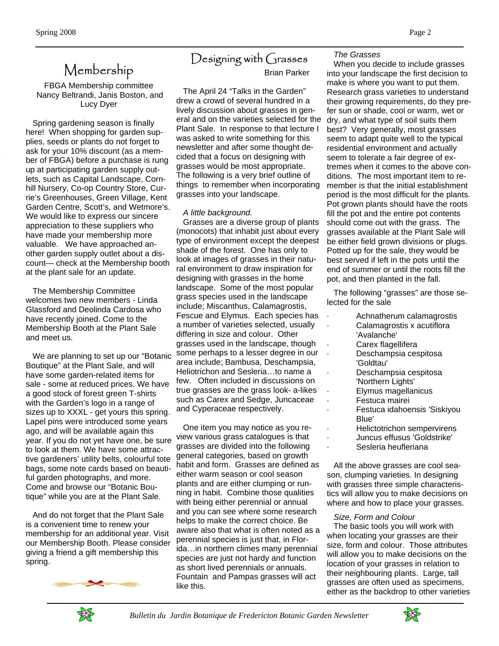*The Grasses* 

# Membership

FBGA Membership committee Nancy Beltrandi, Janis Boston, and Lucy Dyer

 Spring gardening season is finally here! When shopping for garden supplies, seeds or plants do not forget to ask for your 10% discount (as a member of FBGA) before a purchase is rung up at participating garden supply outlets, such as Capital Landscape, Cornhill Nursery, Co-op Country Store, Currie's Greenhouses, Green Village, Kent Garden Centre, Scott's, and Wetmore's. We would like to express our sincere appreciation to these suppliers who have made your membership more valuable. We have approached another garden supply outlet about a discount— check at the Membership booth at the plant sale for an update.

 The Membership Committee welcomes two new members - Linda Glassford and Deolinda Cardosa who have recently joined. Come to the Membership Booth at the Plant Sale and meet us.

 We are planning to set up our "Botanic Boutique" at the Plant Sale, and will have some garden-related items for sale - some at reduced prices. We have a good stock of forest green T-shirts with the Garden's logo in a range of sizes up to XXXL - get yours this spring. Lapel pins were introduced some years ago, and will be available again this year. If you do not yet have one, be sure to look at them. We have some attractive gardeners' utility belts, colourful tote bags, some note cards based on beautiful garden photographs, and more. Come and browse our "Botanic Boutique" while you are at the Plant Sale.

 And do not forget that the Plant Sale is a convenient time to renew your membership for an additional year. Visit our Membership Booth. Please consider giving a friend a gift membership this spring.



# Designing with Grasses

### Brian Parker

 The April 24 "Talks in the Garden" drew a crowd of several hundred in a lively discussion about grasses in general and on the varieties selected for the Plant Sale. In response to that lecture I was asked to write something for this newsletter and after some thought decided that a focus on designing with grasses would be most appropriate. The following is a very brief outline of things to remember when incorporating grasses into your landscape.

#### *A little background.*

 Grasses are a diverse group of plants (monocots) that inhabit just about every type of environment except the deepest shade of the forest. One has only to look at images of grasses in their natural environment to draw inspiration for designing with grasses in the home landscape. Some of the most popular grass species used in the landscape include; Miscanthus, Calamagrostis, Fescue and Elymus. Each species has a number of varieties selected, usually differing in size and colour. Other grasses used in the landscape, though some perhaps to a lesser degree in our area include; Bambusa, Deschampsia, Heliotrichon and Sesleria…to name a few. Often included in discussions on true grasses are the grass look- a-likes such as Carex and Sedge, Juncaceae and Cyperaceae respectively.

 One item you may notice as you review various grass catalogues is that grasses are divided into the following general categories, based on growth habit and form. Grasses are defined as either warm season or cool season plants and are either clumping or running in habit. Combine those qualities with being either perennial or annual and you can see where some research helps to make the correct choice. Be aware also that what is often noted as a perennial species is just that, in Florida…in northern climes many perennial species are just not hardy and function as short lived perennials or annuals. Fountain and Pampas grasses will act like this.

#### When you decide to include grasses into your landscape the first decision to make is where you want to put them. Research grass varieties to understand their growing requirements, do they prefer sun or shade, cool or warm, wet or dry, and what type of soil suits them best? Very generally, most grasses seem to adapt quite well to the typical residential environment and actually seem to tolerate a fair degree of extremes when it comes to the above conditions. The most important item to remember is that the initial establishment period is the most difficult for the plants. Pot grown plants should have the roots fill the pot and the entire pot contents should come out with the grass. The grasses available at the Plant Sale will be either field grown divisions or plugs. Potted up for the sale, they would be best served if left in the pots until the end of summer or until the roots fill the pot, and then planted in the fall.

 The following "grasses" are those selected for the sale

- · Achnatherum calamagrostis
- · Calamagrostis x acutiflora 'Avalanche'
- Carex flagellifera
- · Deschampsia cespitosa 'Goldtau'
	- Deschampsia cespitosa 'Northern Lights'
		- · Elymus magellanicus
	- · Festuca mairei
- · Festuca idahoensis 'Siskiyou Blue'
- · Helictotrichon sempervirens
- · Juncus effusus 'Goldstrike'
- Sesleria heufleriana

 All the above grasses are cool season, clumping varieties. In designing with grasses three simple characteristics will allow you to make decisions on where and how to place your grasses.

#### *Size, Form and Colour*

 The basic tools you will work with when locating your grasses are their size, form and colour. Those attributes will allow you to make decisions on the location of your grasses in relation to their neighbouring plants. Large, tall grasses are often used as specimens, either as the backdrop to other varieties



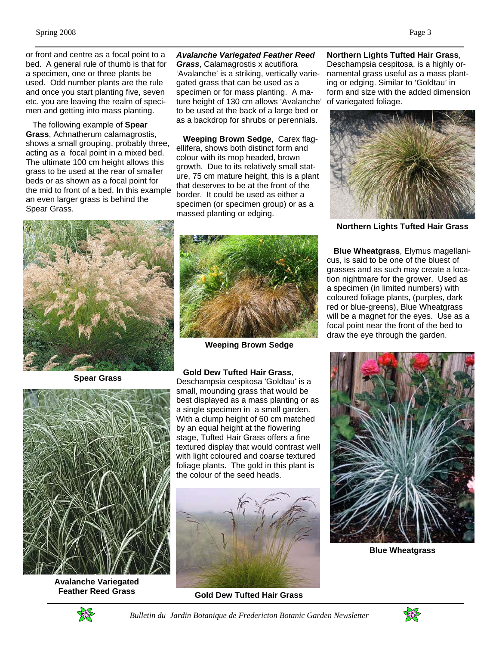or front and centre as a focal point to a bed. A general rule of thumb is that for a specimen, one or three plants be used. Odd number plants are the rule and once you start planting five, seven etc. you are leaving the realm of specimen and getting into mass planting.

 The following example of **Spear Grass**, Achnatherum calamagrostis, shows a small grouping, probably three, acting as a focal point in a mixed bed. The ultimate 100 cm height allows this grass to be used at the rear of smaller beds or as shown as a focal point for the mid to front of a bed. In this example an even larger grass is behind the Spear Grass.

#### *Avalanche Variegated Feather Reed*

*Grass*, Calamagrostis x acutiflora 'Avalanche' is a striking, vertically variegated grass that can be used as a specimen or for mass planting. A mature height of 130 cm allows 'Avalanche' to be used at the back of a large bed or as a backdrop for shrubs or perennials.

 **Weeping Brown Sedge**, Carex flagellifera, shows both distinct form and colour with its mop headed, brown growth. Due to its relatively small stature, 75 cm mature height, this is a plant that deserves to be at the front of the border. It could be used as either a specimen (or specimen group) or as a massed planting or edging.

**Spear Grass** 



**Avalanche Variegated Feather Reed Grass**



**Weeping Brown Sedge**

#### **Gold Dew Tufted Hair Grass**,

Deschampsia cespitosa 'Goldtau' is a small, mounding grass that would be best displayed as a mass planting or as a single specimen in a small garden. With a clump height of 60 cm matched by an equal height at the flowering stage, Tufted Hair Grass offers a fine textured display that would contrast well with light coloured and coarse textured foliage plants. The gold in this plant is the colour of the seed heads.



**Gold Dew Tufted Hair Grass**

**Northern Lights Tufted Hair Grass**, Deschampsia cespitosa, is a highly ornamental grass useful as a mass planting or edging. Similar to 'Goldtau' in form and size with the added dimension of variegated foliage.



**Northern Lights Tufted Hair Grass**

 **Blue Wheatgrass**, Elymus magellanicus, is said to be one of the bluest of grasses and as such may create a location nightmare for the grower. Used as a specimen (in limited numbers) with coloured foliage plants, (purples, dark red or blue-greens), Blue Wheatgrass will be a magnet for the eyes. Use as a focal point near the front of the bed to draw the eye through the garden.



**Blue Wheatgrass**



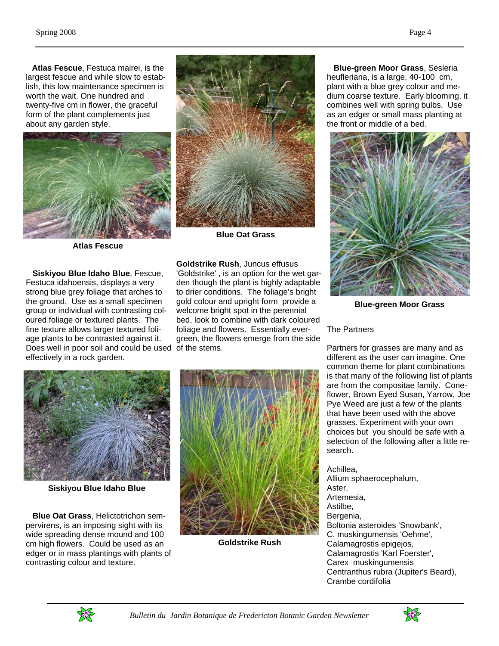**Atlas Fescue**, Festuca mairei, is the largest fescue and while slow to establish, this low maintenance specimen is worth the wait. One hundred and twenty-five cm in flower, the graceful form of the plant complements just about any garden style.



**Atlas Fescue**

 **Siskiyou Blue Idaho Blue**, Fescue, Festuca idahoensis, displays a very strong blue grey foliage that arches to the ground. Use as a small specimen group or individual with contrasting coloured foliage or textured plants. The fine texture allows larger textured foliage plants to be contrasted against it. Does well in poor soil and could be used of the stems. effectively in a rock garden.



**Blue Oat Grass**

**Goldstrike Rush**, Juncus effusus 'Goldstrike' , is an option for the wet garden though the plant is highly adaptable to drier conditions. The foliage's bright gold colour and upright form provide a welcome bright spot in the perennial bed, look to combine with dark coloured foliage and flowers. Essentially evergreen, the flowers emerge from the side

 **Blue-green Moor Grass**, Sesleria heufleriana, is a large, 40-100 cm, plant with a blue grey colour and medium coarse texture. Early blooming, it combines well with spring bulbs. Use as an edger or small mass planting at the front or middle of a bed.



**Blue-green Moor Grass**

#### The Partners

Partners for grasses are many and as different as the user can imagine. One common theme for plant combinations is that many of the following list of plants are from the compositae family. Coneflower, Brown Eyed Susan, Yarrow, Joe Pye Weed are just a few of the plants that have been used with the above grasses. Experiment with your own choices but you should be safe with a selection of the following after a little research.

Achillea, Allium sphaerocephalum, Aster, Artemesia, Astilbe, Bergenia, Boltonia asteroides 'Snowbank', C. muskingumensis 'Oehme', Calamagrostis epigejos, Calamagrostis 'Karl Foerster', Carex muskingumensis Centranthus rubra (Jupiter's Beard), Crambe cordifolia



**Siskiyou Blue Idaho Blue**

 **Blue Oat Grass**, Helictotrichon sempervirens, is an imposing sight with its wide spreading dense mound and 100 cm high flowers. Could be used as an edger or in mass plantings with plants of contrasting colour and texture.



**Goldstrike Rush**



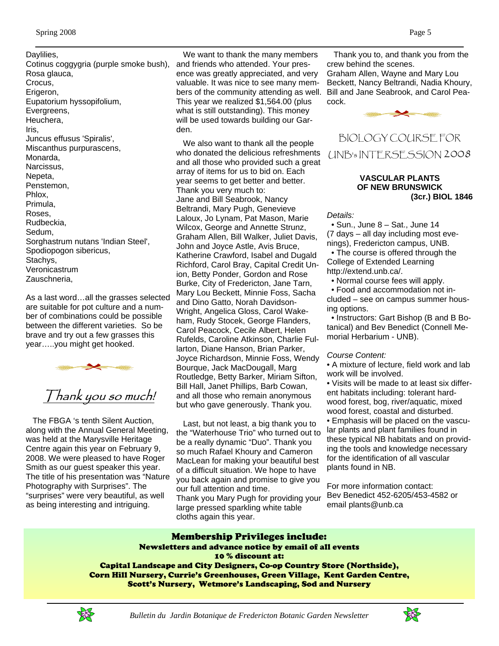Daylilies, Cotinus coggygria (purple smoke bush), Rosa glauca, Crocus, Erigeron, Eupatorium hyssopifolium, Evergreens, Heuchera, Iris, Juncus effusus 'Spiralis', Miscanthus purpurascens, Monarda, Narcissus, Nepeta, Penstemon, Phlox, Primula, Roses, Rudbeckia, Sedum, Sorghastrum nutans 'Indian Steel', Spodiopogon sibericus, Stachys, Veronicastrum Zauschneria,

As a last word…all the grasses selected are suitable for pot culture and a number of combinations could be possible between the different varieties. So be brave and try out a few grasses this year…..you might get hooked.



 The FBGA 's tenth Silent Auction, along with the Annual General Meeting, was held at the Marysville Heritage Centre again this year on February 9, 2008. We were pleased to have Roger Smith as our guest speaker this year. The title of his presentation was "Nature Photography with Surprises". The "surprises" were very beautiful, as well as being interesting and intriguing.

 We want to thank the many members and friends who attended. Your presence was greatly appreciated, and very valuable. It was nice to see many members of the community attending as well. This year we realized \$1,564.00 (plus what is still outstanding). This money will be used towards building our Garden.

 We also want to thank all the people who donated the delicious refreshments and all those who provided such a great array of items for us to bid on. Each year seems to get better and better. Thank you very much to: Jane and Bill Seabrook, Nancy Beltrandi, Mary Pugh, Genevieve Laloux, Jo Lynam, Pat Mason, Marie Wilcox, George and Annette Strunz, Graham Allen, Bill Walker, Juliet Davis, John and Joyce Astle, Avis Bruce, Katherine Crawford, Isabel and Dugald Richford, Carol Bray, Capital Credit Union, Betty Ponder, Gordon and Rose Burke, City of Fredericton, Jane Tarn, Mary Lou Beckett, Minnie Foss, Sacha and Dino Gatto, Norah Davidson-Wright, Angelica Gloss, Carol Wakeham, Rudy Stocek, George Flanders, Carol Peacock, Cecile Albert, Helen Rufelds, Caroline Atkinson, Charlie Fullarton, Diane Hanson, Brian Parker, Joyce Richardson, Minnie Foss, Wendy Bourque, Jack MacDougall, Marg Routledge, Betty Barker, Miriam Sifton, Bill Hall, Janet Phillips, Barb Cowan, and all those who remain anonymous but who gave generously. Thank you.

 Last, but not least, a big thank you to the "Waterhouse Trio" who turned out to be a really dynamic "Duo". Thank you so much Rafael Khoury and Cameron MacLean for making your beautiful best of a difficult situation. We hope to have you back again and promise to give you our full attention and time. Thank you Mary Pugh for providing your large pressed sparkling white table cloths again this year.

 Thank you to, and thank you from the crew behind the scenes. Graham Allen, Wayne and Mary Lou Beckett, Nancy Beltrandi, Nadia Khoury, Bill and Jane Seabrook, and Carol Peacock.





#### **VASCULAR PLANTS OF NEW BRUNSWICK (3cr.) BIOL 1846**

*Details:* 

 • Sun., June 8 – Sat., June 14 (7 days – all day including most evenings), Fredericton campus, UNB.

 • The course is offered through the College of Extended Learning http://extend.unb.ca/.

• Normal course fees will apply.

 • Food and accommodation not included – see on campus summer housing options.

 • Instructors: Gart Bishop (B and B Botanical) and Bev Benedict (Connell Memorial Herbarium - UNB).

#### *Course Content:*

• A mixture of lecture, field work and lab work will be involved.

• Visits will be made to at least six different habitats including: tolerant hardwood forest, bog, river/aquatic, mixed wood forest, coastal and disturbed.

• Emphasis will be placed on the vascular plants and plant families found in these typical NB habitats and on providing the tools and knowledge necessary for the identification of all vascular plants found in NB.

For more information contact: Bev Benedict 452-6205/453-4582 or email plants@unb.ca

#### Membership Privileges include: Newsletters and advance notice by email of all events

10 % discount at:

Capital Landscape and City Designers, Co-op Country Store (Northside), Corn Hill Nursery, Currie's Greenhouses, Green Village, Kent Garden Centre, Scott's Nursery, Wetmore's Landscaping, Sod and Nursery